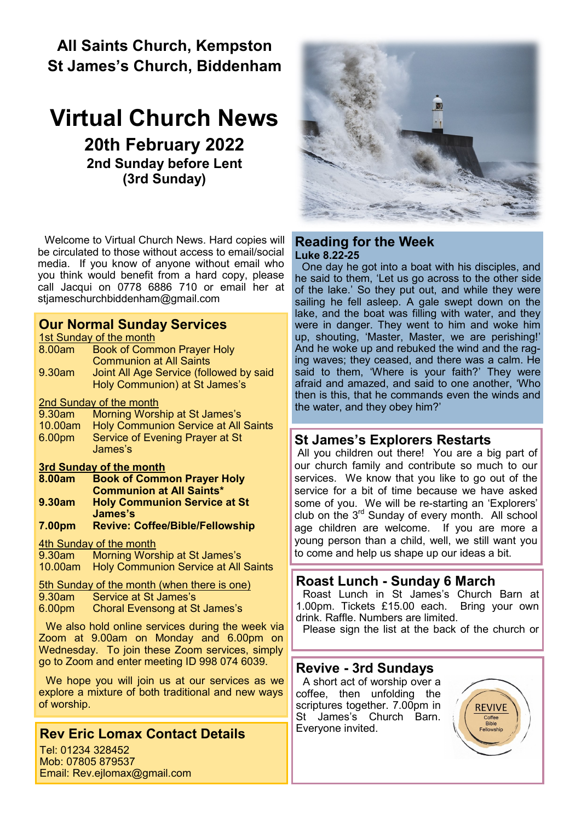# **All Saints Church, Kempston St James's Church, Biddenham**

# **Virtual Church News 20th February 2022 2nd Sunday before Lent (3rd Sunday)**

Welcome to Virtual Church News. Hard copies will be circulated to those without access to email/social media. If you know of anyone without email who you think would benefit from a hard copy, please call Jacqui on 0778 6886 710 or email her at [stjameschurchbiddenham@gmail.com](mailto:Jacqui.piper@btinternet.com) 

### **Our Normal Sunday Services**

1st Sunday of the month

| 8.00am | <b>Book of Common Prayer Holy</b>       |
|--------|-----------------------------------------|
|        | <b>Communion at All Saints</b>          |
| 9.30am | Joint All Age Service (followed by said |
|        | Holy Communion) at St James's           |
|        |                                         |

2nd Sunday of the month

| 9.30am             | Morning Worship at St James's                |
|--------------------|----------------------------------------------|
|                    | 10.00am Holy Communion Service at All Saints |
| 6.00 <sub>pm</sub> | Service of Evening Prayer at St              |
|                    | James's                                      |

# **3rd Sunday of the month**

- **Book of Common Prayer Holy Communion at All Saints\* 9.30am Holy Communion Service at St James's**
- **7.00pm Revive: Coffee/Bible/Fellowship**

#### 4th Sunday of the month

9.30am Morning Worship at St James's 10.00am Holy Communion Service at All Saints

5th Sunday of the month (when there is one)

| 9.30am | Service at St James's |  |  |
|--------|-----------------------|--|--|
|--------|-----------------------|--|--|

6.00pm Choral Evensong at St James's

We also hold online services during the week via Zoom at 9.00am on Monday and 6.00pm on Wednesday. To join these Zoom services, simply go to Zoom and enter meeting ID 998 074 6039.

We hope you will join us at our services as we explore a mixture of both traditional and new ways of worship.

# **Rev Eric Lomax Contact Details**

Tel: 01234 328452 Mob: 07805 879537 Email: Rev.ejlomax@gmail.com



#### **Reading for the Week Luke 8.22-25**

One day he got into a boat with his disciples, and he said to them, 'Let us go across to the other side of the lake.' So they put out, and while they were sailing he fell asleep. A gale swept down on the lake, and the boat was filling with water, and they were in danger. They went to him and woke him up, shouting, 'Master, Master, we are perishing!' And he woke up and rebuked the wind and the raging waves; they ceased, and there was a calm. He said to them, 'Where is your faith?' They were afraid and amazed, and said to one another, 'Who then is this, that he commands even the winds and the water, and they obey him?'

# **St James's Explorers Restarts**

All you children out there! You are a big part of our church family and contribute so much to our services. We know that you like to go out of the service for a bit of time because we have asked some of you. We will be re-starting an 'Explorers' club on the  $3^{rd}$  Sunday of every month. All school age children are welcome. If you are more a young person than a child, well, we still want you to come and help us shape up our ideas a bit.

## **Roast Lunch - Sunday 6 March**

Roast Lunch in St James's Church Barn at 1.00pm. Tickets £15.00 each. Bring your own drink. Raffle. Numbers are limited.

Please sign the list at the back of the church or

## **Revive - 3rd Sundays**

A short act of worship over a coffee, then unfolding the scriptures together. 7.00pm in St James's Church Barn. Everyone invited.

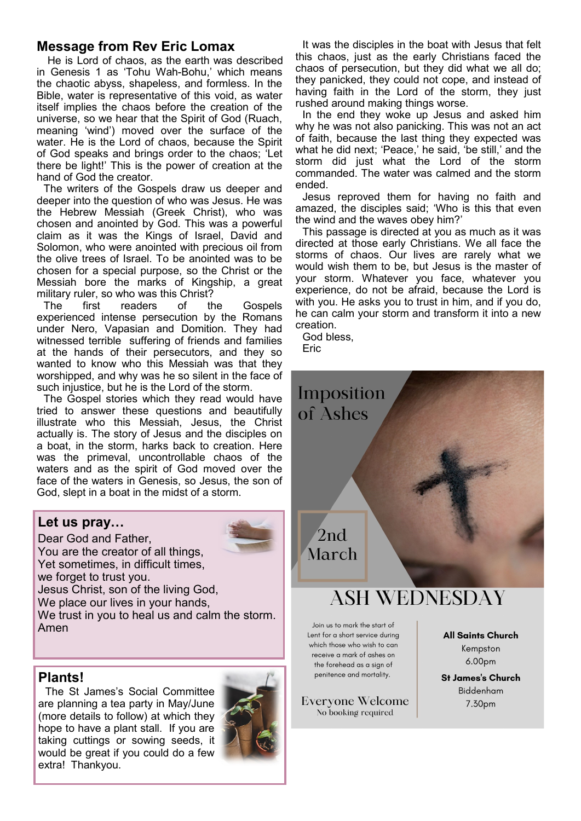### **Message from Rev Eric Lomax**

He is Lord of chaos, as the earth was described in Genesis 1 as 'Tohu Wah-Bohu,' which means the chaotic abyss, shapeless, and formless. In the Bible, water is representative of this void, as water itself implies the chaos before the creation of the universe, so we hear that the Spirit of God (Ruach, meaning 'wind') moved over the surface of the water. He is the Lord of chaos, because the Spirit of God speaks and brings order to the chaos; 'Let there be light!' This is the power of creation at the hand of God the creator.

The writers of the Gospels draw us deeper and deeper into the question of who was Jesus. He was the Hebrew Messiah (Greek Christ), who was chosen and anointed by God. This was a powerful claim as it was the Kings of Israel, David and Solomon, who were anointed with precious oil from the olive trees of Israel. To be anointed was to be chosen for a special purpose, so the Christ or the Messiah bore the marks of Kingship, a great military ruler, so who was this Christ?

The first readers of the Gospels experienced intense persecution by the Romans under Nero, Vapasian and Domition. They had witnessed terrible suffering of friends and families at the hands of their persecutors, and they so wanted to know who this Messiah was that they worshipped, and why was he so silent in the face of such injustice, but he is the Lord of the storm.

The Gospel stories which they read would have tried to answer these questions and beautifully illustrate who this Messiah, Jesus, the Christ actually is. The story of Jesus and the disciples on a boat, in the storm, harks back to creation. Here was the primeval, uncontrollable chaos of the waters and as the spirit of God moved over the face of the waters in Genesis, so Jesus, the son of God, slept in a boat in the midst of a storm.

#### **Let us pray…**

Dear God and Father, You are the creator of all things, Yet sometimes, in difficult times, we forget to trust you. Jesus Christ, son of the living God, We place our lives in your hands, We trust in you to heal us and calm the storm. Amen

#### **Plants!**

The St James's Social Committee are planning a tea party in May/June (more details to follow) at which they hope to have a plant stall. If you are taking cuttings or sowing seeds, it would be great if you could do a few extra! Thankyou.



It was the disciples in the boat with Jesus that felt this chaos, just as the early Christians faced the chaos of persecution, but they did what we all do; they panicked, they could not cope, and instead of having faith in the Lord of the storm, they just rushed around making things worse.

In the end they woke up Jesus and asked him why he was not also panicking. This was not an act of faith, because the last thing they expected was what he did next; 'Peace,' he said, 'be still,' and the storm did just what the Lord of the storm commanded. The water was calmed and the storm ended.

Jesus reproved them for having no faith and amazed, the disciples said; 'Who is this that even the wind and the waves obey him?'

This passage is directed at you as much as it was directed at those early Christians. We all face the storms of chaos. Our lives are rarely what we would wish them to be, but Jesus is the master of your storm. Whatever you face, whatever you experience, do not be afraid, because the Lord is with you. He asks you to trust in him, and if you do, he can calm your storm and transform it into a new creation.

God bless,

Imposition

of Ashes

**Eric** 

2nd. March

# **ASH WEDNESDAY**

Join us to mark the start of Lent for a short service during which those who wish to can receive a mark of ashes on the forehead as a sian of penitence and mortality.

**Everyone Welcome** No booking required

**All Saints Church** Kempston 6.00pm

**St James's Church** Biddenham 7.30pm